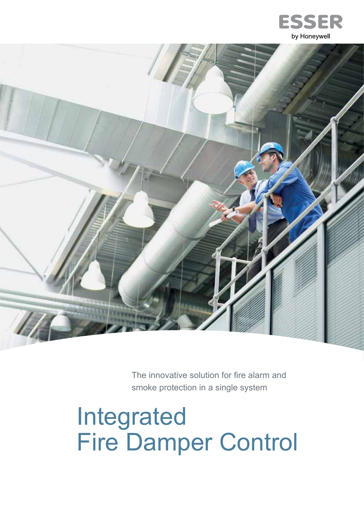



The innovative solution for fire alarm and smoke protection in a single system

# Integrated Fire Damper Control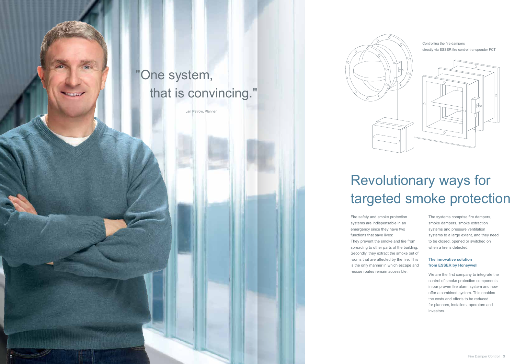# Revolutionary ways for targeted smoke protection

Fire safety and smoke protection systems are indispensable in an emergency since they have two functions that save lives: They prevent the smoke and fire from spreading to other parts of the building. Secondly, they extract the smoke out of rooms that are affected by the fire. This is the only manner in which escape and rescue routes remain accessible.

The systems comprise fire dampers, smoke dampers, smoke extraction systems and pressure ventilation systems to a large extent, and they need to be closed, opened or switched on when a fire is detected.

#### **The innovative solution from ESSER by Honeywell**

We are the first company to integrate the control of smoke protection components in our proven fire alarm system and now offer a combined system. This enables the costs and efforts to be reduced for planners, installers, operators and investors.





### "One system, that is convincing."

Jan Petrow, Planner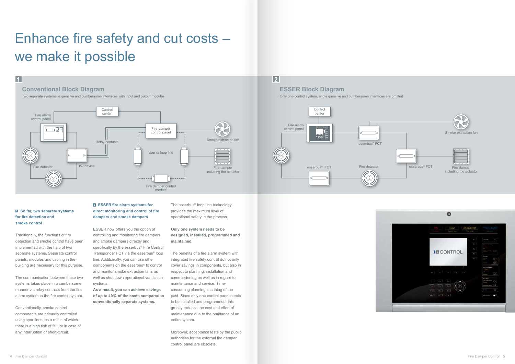#### **1 So far, two separate systems for fire detection and smoke control**



### **2**



## Enhance fire safety and cut costs – we make it possible

Traditionally, the functions of fire detection and smoke control have been implemented with the help of two separate systems. Separate control panels, modules and cabling in the building are necessary for this purpose.

The communication between these two systems takes place in a cumbersome manner via relay contacts from the fire alarm system to the fire control system.

Conventionally, smoke control components are primarily controlled using spur lines, as a result of which there is a high risk of failure in case of any interruption or short-circuit.

#### **ESSER fire alarm systems for direct monitoring and control of fire dampers and smoke dampers**

ESSER now offers you the option of controlling and monitoring fire dampers and smoke dampers directly and specifically by the esserbus<sup>®</sup> Fire Control Transponder FCT via the esserbus® loop line. Additionally, you can use other components on the esserbus® to control and monitor smoke extraction fans as well as shut down operational ventilation systems.

**As a result, you can achieve savings of up to 40% of the costs compared to conventionally separate systems.**

The esserbus® loop line technology provides the maximum level of operational safety in the process.

#### **Only one system needs to be designed, installed, programmed and maintained.**

The benefits of a fire alarm system with integrated fire safety control do not only cover savings in components, but also in respect to planning, installation and commissioning as well as in regard to maintenance and service. Timeconsuming planning is a thing of the past. Since only one control panel needs to be installed and programmed; this greatly reduces the cost and effort of maintenance due to the omittance of an entire system.

Moreover, acceptance tests by the public authorities for the external fire damper control panel are obsolete.

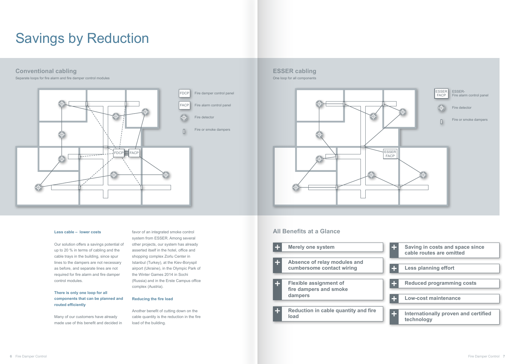### **Conventional cabling ESSER cabling**

Separate loops for fire alarm and fire damper control modules and the control modules on the control modules on the control modules on the control modules on the control modules on the control modules on the control module





### Savings by Reduction

#### **Less cable – lower costs**

Our solution offers a savings potential of up to 20 % in terms of cabling and the cable trays in the building, since spur lines to the dampers are not necessary as before, and separate lines are not required for fire alarm and fire damper control modules.

#### **There is only one loop for all components that can be planned and routed efficiently**

Many of our customers have already made use of this benefit and decided in

favor of an integrated smoke control system from ESSER. Among several other projects, our system has already asserted itself in the hotel, office and shopping complex Zorlu Center in Istanbul (Turkey), at the Kiev-Boryspil airport (Ukraine), in the Olympic Park of the Winter Games 2014 in Sochi (Russia) and in the Erste Campus office complex (Austria).

#### **Reducing the fire load**

Another benefit of cutting down on the cable quantity is the reduction in the fire load of the building.



### **All Benefits at a Glance**



| Saving in costs and space since<br>cable routes are omitted |
|-------------------------------------------------------------|
|                                                             |
| <b>Less planning effort</b>                                 |
|                                                             |
| <b>Reduced programming costs</b>                            |
|                                                             |
| <b>Low-cost maintenance</b>                                 |
|                                                             |
| Internationally proven and certified<br>technology          |
|                                                             |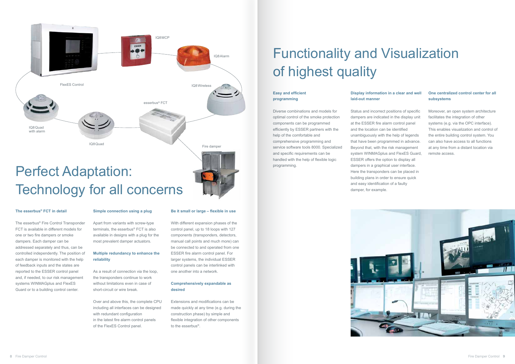#### **The esserbus® FCT in detail**

The esserbus® Fire Control Transponder FCT is available in different models for one or two fire dampers or smoke dampers. Each damper can be addressed separately and thus, can be controlled independently. The position of each damper is monitored with the help of feedback inputs and the states are reported to the ESSER control panel and, if needed, to our risk management systems WINMAGplus and FlexES Guard or to a building control center.

#### **Simple connection using a plug**

Apart from variants with screw-type terminals, the esserbus® FCT is also available in designs with a plug for the most prevalent damper actuators.

#### **Multiple redundancy to enhance the reliability**

As a result of connection via the loop, the transponders continue to work without limitations even in case of short-circuit or wire break.

Over and above this, the complete CPU including all interfaces can be designed with redundant configuration in the latest fire alarm control panels of the FlexES Control panel.

#### **Be it small or large – flexible in use**

With different expansion phases of the control panel, up to 18 loops with 127 components (transponders, detectors, manual call points and much more) can be connected to and operated from one ESSER fire alarm control panel. For larger systems, the individual ESSER control panels can be interlinked with one another into a network.

#### **Comprehensively expandable as desired**



Extensions and modifications can be made quickly at any time (e.g. during the construction phase) by simple and flexible integration of other components to the esserbus®.

## Functionality and Visualization of highest quality

#### **Easy and efficient programming**

Diverse combinations and models for optimal control of the smoke protection components can be programmed efficiently by ESSER partners with the help of the comfortable and comprehensive programming and service software tools 8000. Specialized and specific requirements can be handled with the help of flexible logic programming.

#### **Display information in a clear and well**

### **laid-out manner**

Status and incorrect positions of specific dampers are indicated in the display unit at the ESSER fire alarm control panel and the location can be identified unambiguously with the help of legends that have been programmed in advance. Beyond that, with the risk management system WINMAGplus and FlexES Guard, ESSER offers the option to display all dampers in a graphical user interface. Here the transponders can be placed in building plans in order to ensure quick and easy identification of a faulty damper, for example.



#### **One centralized control center for all subsystems**

Moreover, an open system architecture facilitates the integration of other systems (e.g. via the OPC interface). This enables visualization and control of the entire building control system. You can also have access to all functions at any time from a distant location via remote access.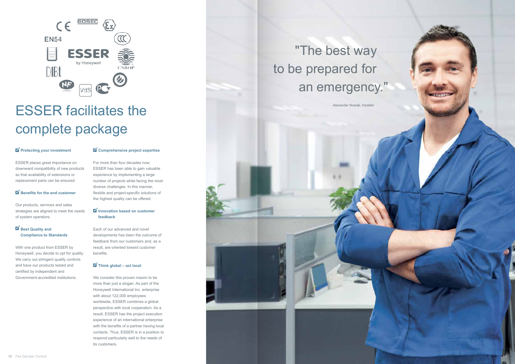



## ESSER facilitates the complete package

#### **Protecting your investment**

### "The best way to be prepared for an emergency."

Alexander Nowak, Installer

#### **Best Quality and Compliance to Standards**

ESSER places great importance on downward compatibility of new products so that availability of extensions or replacement parts can be ensured.

#### **Benefits for the end customer**

Our products, services and sales strategies are aligned to meet the needs of system operators.

#### **Innovation based on customer feedback**

With one product from ESSER by Honeywell, you decide to opt for quality. We carry out stringent quality controls and have our products tested and certified by independent and Government-accredited institutions.

#### **Comprehensive project expertise**

For more than four decades now, ESSER has been able to gain valuable experience by implementing a large number of projects while facing the most diverse challenges. In this manner, flexible and project-specific solutions of the highest quality can be offered.

Each of our advanced and novel developments has been the outcome of feedback from our customers and, as a result, are oriented toward customer benefits.

#### **Think global – act local**

We consider this proven maxim to be more than just a slogan. As part of the Honeywell International Inc. enterprise with about 122,000 employees worldwide, ESSER combines a global perspective with local cooperation. As a result, ESSER has the project execution experience of an international enterprise with the benefits of a partner having local contacts. Thus, ESSER is in a position to respond particularly well to the needs of its customers.